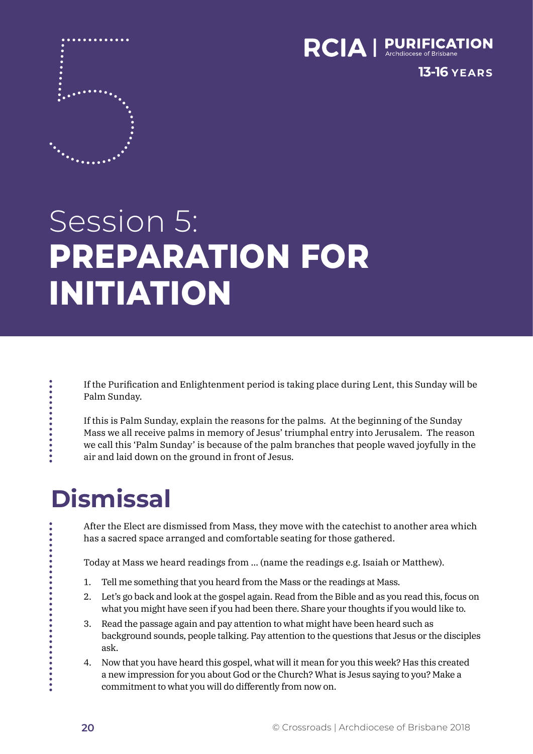

**13-16 YEARS**

# Session 5: **PREPARATION FOR INITIATION**

If the Purification and Enlightenment period is taking place during Lent, this Sunday will be Palm Sunday.

If this is Palm Sunday, explain the reasons for the palms. At the beginning of the Sunday Mass we all receive palms in memory of Jesus' triumphal entry into Jerusalem. The reason we call this 'Palm Sunday' is because of the palm branches that people waved joyfully in the air and laid down on the ground in front of Jesus.

## **Dismissal**

. . . . . . . . . . . . . . . .

.......<br>....

After the Elect are dismissed from Mass, they move with the catechist to another area which has a sacred space arranged and comfortable seating for those gathered.

Today at Mass we heard readings from … (name the readings e.g. Isaiah or Matthew).

- 1. Tell me something that you heard from the Mass or the readings at Mass.
- 2. Let's go back and look at the gospel again. Read from the Bible and as you read this, focus on what you might have seen if you had been there. Share your thoughts if you would like to.
- 3. Read the passage again and pay attention to what might have been heard such as background sounds, people talking. Pay attention to the questions that Jesus or the disciples ask.
- 4. Now that you have heard this gospel, what will it mean for you this week? Has this created a new impression for you about God or the Church? What is Jesus saying to you? Make a commitment to what you will do differently from now on.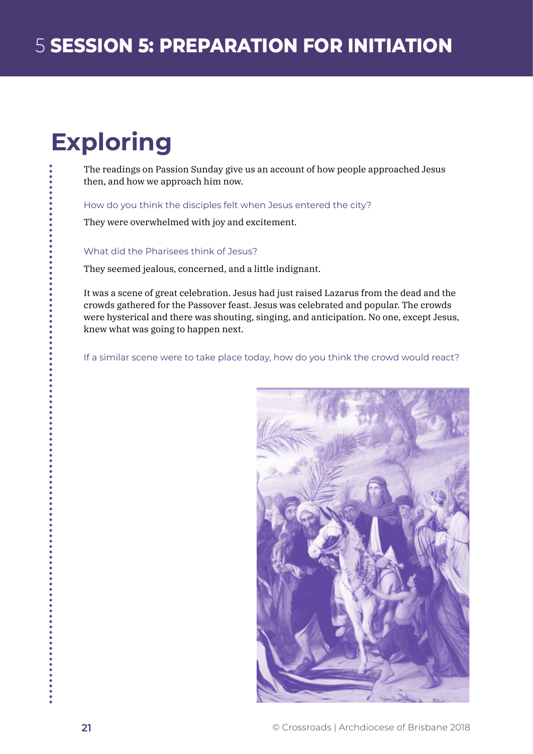# **Exploring**

The readings on Passion Sunday give us an account of how people approached Jesus then, and how we approach him now.

How do you think the disciples felt when Jesus entered the city?

They were overwhelmed with joy and excitement.

What did the Pharisees think of Jesus?

They seemed jealous, concerned, and a little indignant.

It was a scene of great celebration. Jesus had just raised Lazarus from the dead and the crowds gathered for the Passover feast. Jesus was celebrated and popular. The crowds were hysterical and there was shouting, singing, and anticipation. No one, except Jesus, knew what was going to happen next.

If a similar scene were to take place today, how do you think the crowd would react?